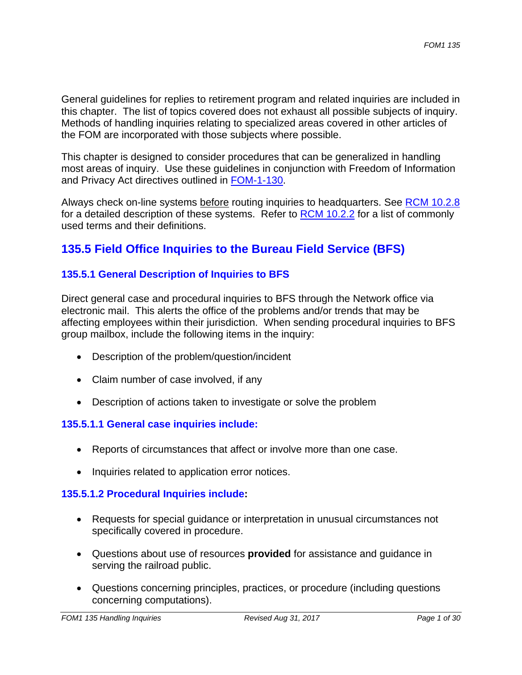General guidelines for replies to retirement program and related inquiries are included in this chapter. The list of topics covered does not exhaust all possible subjects of inquiry. Methods of handling inquiries relating to specialized areas covered in other articles of the FOM are incorporated with those subjects where possible.

This chapter is designed to consider procedures that can be generalized in handling most areas of inquiry. Use these guidelines in conjunction with Freedom of Information and Privacy Act directives outlined in FOM-1-130.

Always check on-line systems before routing inquiries to headquarters. See RCM 10.2.8 for a detailed description of these systems. Refer to RCM 10.2.2 for a list of commonly used terms and their definitions.

# **135.5 Field Office Inquiries to the Bureau Field Service (BFS)**

## **135.5.1 General Description of Inquiries to BFS**

Direct general case and procedural inquiries to BFS through the Network office via electronic mail. This alerts the office of the problems and/or trends that may be affecting employees within their jurisdiction. When sending procedural inquiries to BFS group mailbox, include the following items in the inquiry:

- Description of the problem/question/incident
- Claim number of case involved, if any
- Description of actions taken to investigate or solve the problem

## **135.5.1.1 General case inquiries include:**

- Reports of circumstances that affect or involve more than one case.
- Inquiries related to application error notices.

#### **135.5.1.2 Procedural Inquiries include:**

- Requests for special guidance or interpretation in unusual circumstances not specifically covered in procedure.
- Questions about use of resources **provided** for assistance and guidance in serving the railroad public.
- Questions concerning principles, practices, or procedure (including questions concerning computations).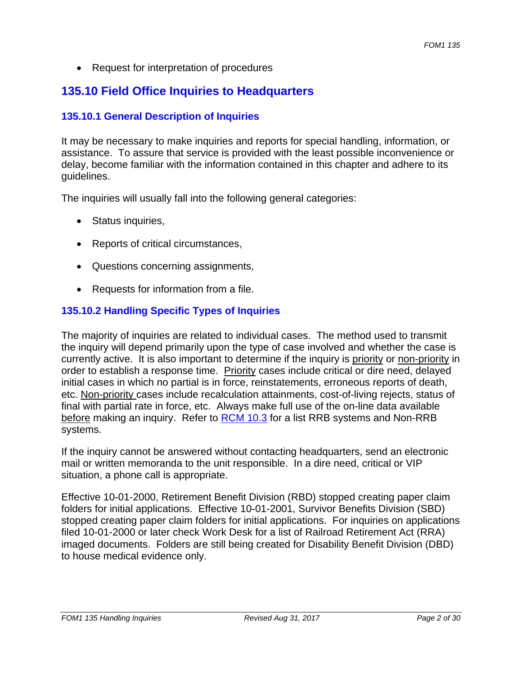• Request for interpretation of procedures

# **135.10 Field Office Inquiries to Headquarters**

## **135.10.1 General Description of Inquiries**

It may be necessary to make inquiries and reports for special handling, information, or assistance. To assure that service is provided with the least possible inconvenience or delay, become familiar with the information contained in this chapter and adhere to its guidelines.

The inquiries will usually fall into the following general categories:

- Status inquiries,
- Reports of critical circumstances,
- Questions concerning assignments,
- Requests for information from a file.

## **135.10.2 Handling Specific Types of Inquiries**

The majority of inquiries are related to individual cases. The method used to transmit the inquiry will depend primarily upon the type of case involved and whether the case is currently active. It is also important to determine if the inquiry is priority or non-priority in order to establish a response time. Priority cases include critical or dire need, delayed initial cases in which no partial is in force, reinstatements, erroneous reports of death, etc. Non-priority cases include recalculation attainments, cost-of-living rejects, status of final with partial rate in force, etc. Always make full use of the on-line data available before making an inquiry. Refer to RCM 10.3 for a list RRB systems and Non-RRB systems.

If the inquiry cannot be answered without contacting headquarters, send an electronic mail or written memoranda to the unit responsible. In a dire need, critical or VIP situation, a phone call is appropriate.

Effective 10-01-2000, Retirement Benefit Division (RBD) stopped creating paper claim folders for initial applications. Effective 10-01-2001, Survivor Benefits Division (SBD) stopped creating paper claim folders for initial applications. For inquiries on applications filed 10-01-2000 or later check Work Desk for a list of Railroad Retirement Act (RRA) imaged documents. Folders are still being created for Disability Benefit Division (DBD) to house medical evidence only.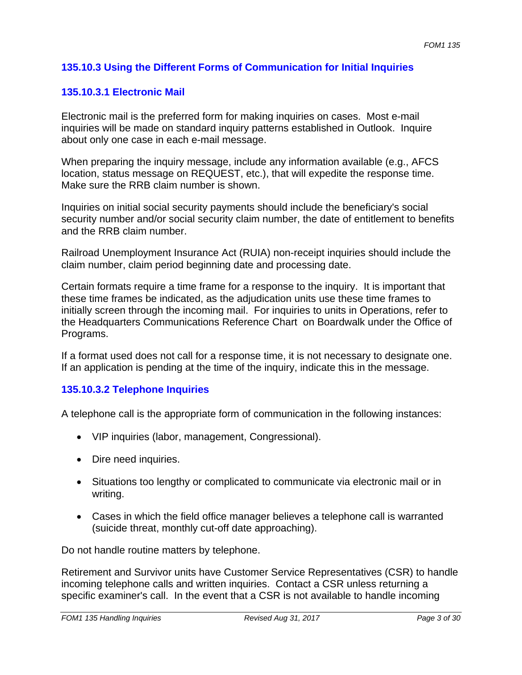## **135.10.3 Using the Different Forms of Communication for Initial Inquiries**

#### **135.10.3.1 Electronic Mail**

Electronic mail is the preferred form for making inquiries on cases. Most e-mail inquiries will be made on standard inquiry patterns established in Outlook. Inquire about only one case in each e-mail message.

When preparing the inquiry message, include any information available (e.g., AFCS location, status message on REQUEST, etc.), that will expedite the response time. Make sure the RRB claim number is shown.

Inquiries on initial social security payments should include the beneficiary's social security number and/or social security claim number, the date of entitlement to benefits and the RRB claim number.

Railroad Unemployment Insurance Act (RUIA) non-receipt inquiries should include the claim number, claim period beginning date and processing date.

Certain formats require a time frame for a response to the inquiry. It is important that these time frames be indicated, as the adjudication units use these time frames to initially screen through the incoming mail. For inquiries to units in Operations, refer to the Headquarters Communications Reference Chart on Boardwalk under the Office of Programs.

If a format used does not call for a response time, it is not necessary to designate one. If an application is pending at the time of the inquiry, indicate this in the message.

#### **135.10.3.2 Telephone Inquiries**

A telephone call is the appropriate form of communication in the following instances:

- VIP inquiries (labor, management, Congressional).
- Dire need inquiries.
- Situations too lengthy or complicated to communicate via electronic mail or in writing.
- Cases in which the field office manager believes a telephone call is warranted (suicide threat, monthly cut-off date approaching).

Do not handle routine matters by telephone.

Retirement and Survivor units have Customer Service Representatives (CSR) to handle incoming telephone calls and written inquiries. Contact a CSR unless returning a specific examiner's call. In the event that a CSR is not available to handle incoming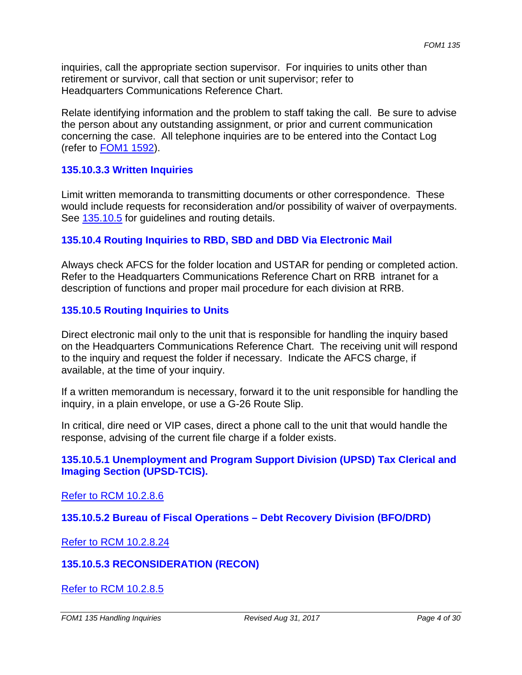inquiries, call the appropriate section supervisor. For inquiries to units other than retirement or survivor, call that section or unit supervisor; refer to Headquarters Communications Reference Chart.

Relate identifying information and the problem to staff taking the call. Be sure to advise the person about any outstanding assignment, or prior and current communication concerning the case. All telephone inquiries are to be entered into the Contact Log (refer to FOM1 1592).

#### **135.10.3.3 Written Inquiries**

Limit written memoranda to transmitting documents or other correspondence. These would include requests for reconsideration and/or possibility of waiver of overpayments. See 135.10.5 for guidelines and routing details.

#### **135.10.4 Routing Inquiries to RBD, SBD and DBD Via Electronic Mail**

Always check AFCS for the folder location and USTAR for pending or completed action. Refer to the Headquarters Communications Reference Chart on RRB intranet for a description of functions and proper mail procedure for each division at RRB.

#### **135.10.5 Routing Inquiries to Units**

Direct electronic mail only to the unit that is responsible for handling the inquiry based on the Headquarters Communications Reference Chart. The receiving unit will respond to the inquiry and request the folder if necessary. Indicate the AFCS charge, if available, at the time of your inquiry.

If a written memorandum is necessary, forward it to the unit responsible for handling the inquiry, in a plain envelope, or use a G-26 Route Slip.

In critical, dire need or VIP cases, direct a phone call to the unit that would handle the response, advising of the current file charge if a folder exists.

#### **135.10.5.1 Unemployment and Program Support Division (UPSD) Tax Clerical and Imaging Section (UPSD-TCIS).**

#### Refer to RCM 10.2.8.6

**135.10.5.2 Bureau of Fiscal Operations – Debt Recovery Division (BFO/DRD)** 

Refer to RCM 10.2.8.24

## **135.10.5.3 RECONSIDERATION (RECON)**

Refer to RCM 10.2.8.5

*FOM1 135 Handling Inquiries Revised Aug 31, 2017* Page 4 of 30 **Page 4 of 30 Page 4 of 30**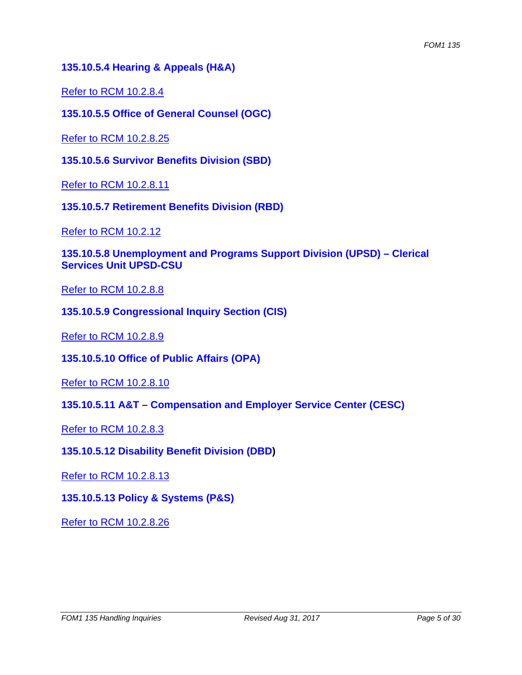#### **135.10.5.4 Hearing & Appeals (H&A)**

Refer to RCM 10.2.8.4

**135.10.5.5 Office of General Counsel (OGC)** 

Refer to RCM 10.2.8.25

**135.10.5.6 Survivor Benefits Division (SBD)** 

Refer to RCM 10.2.8.11

**135.10.5.7 Retirement Benefits Division (RBD)** 

Refer to RCM 10.2.12

**135.10.5.8 Unemployment and Programs Support Division (UPSD) – Clerical Services Unit UPSD-CSU** 

Refer to RCM 10.2.8.8

**135.10.5.9 Congressional Inquiry Section (CIS)** 

Refer to RCM 10.2.8.9

**135.10.5.10 Office of Public Affairs (OPA)** 

Refer to RCM 10.2.8.10

**135.10.5.11 A&T – Compensation and Employer Service Center (CESC)** 

Refer to RCM 10.2.8.3

**135.10.5.12 Disability Benefit Division (DBD)** 

Refer to RCM 10.2.8.13

**135.10.5.13 Policy & Systems (P&S)** 

Refer to RCM 10.2.8.26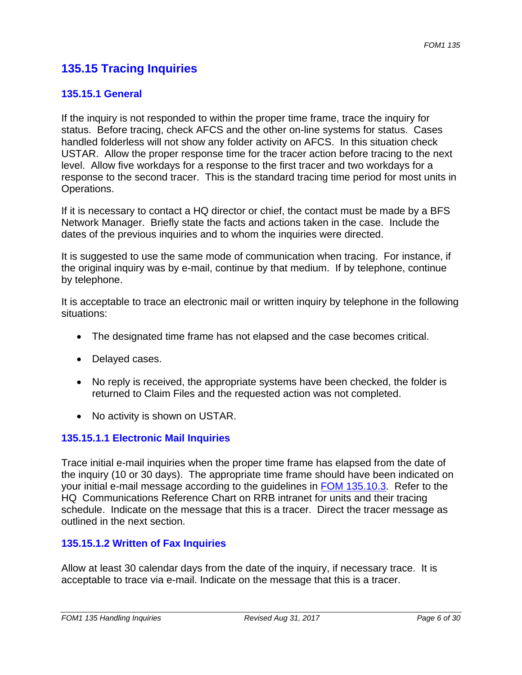# **135.15 Tracing Inquiries**

#### **135.15.1 General**

If the inquiry is not responded to within the proper time frame, trace the inquiry for status. Before tracing, check AFCS and the other on-line systems for status. Cases handled folderless will not show any folder activity on AFCS. In this situation check USTAR. Allow the proper response time for the tracer action before tracing to the next level. Allow five workdays for a response to the first tracer and two workdays for a response to the second tracer. This is the standard tracing time period for most units in Operations.

If it is necessary to contact a HQ director or chief, the contact must be made by a BFS Network Manager. Briefly state the facts and actions taken in the case. Include the dates of the previous inquiries and to whom the inquiries were directed.

It is suggested to use the same mode of communication when tracing. For instance, if the original inquiry was by e-mail, continue by that medium. If by telephone, continue by telephone.

It is acceptable to trace an electronic mail or written inquiry by telephone in the following situations:

- The designated time frame has not elapsed and the case becomes critical.
- Delayed cases.
- No reply is received, the appropriate systems have been checked, the folder is returned to Claim Files and the requested action was not completed.
- No activity is shown on USTAR.

## **135.15.1.1 Electronic Mail Inquiries**

Trace initial e-mail inquiries when the proper time frame has elapsed from the date of the inquiry (10 or 30 days). The appropriate time frame should have been indicated on your initial e-mail message according to the guidelines in FOM 135.10.3. Refer to the HQ Communications Reference Chart on RRB intranet for units and their tracing schedule. Indicate on the message that this is a tracer. Direct the tracer message as outlined in the next section.

## **135.15.1.2 Written of Fax Inquiries**

Allow at least 30 calendar days from the date of the inquiry, if necessary trace. It is acceptable to trace via e-mail. Indicate on the message that this is a tracer.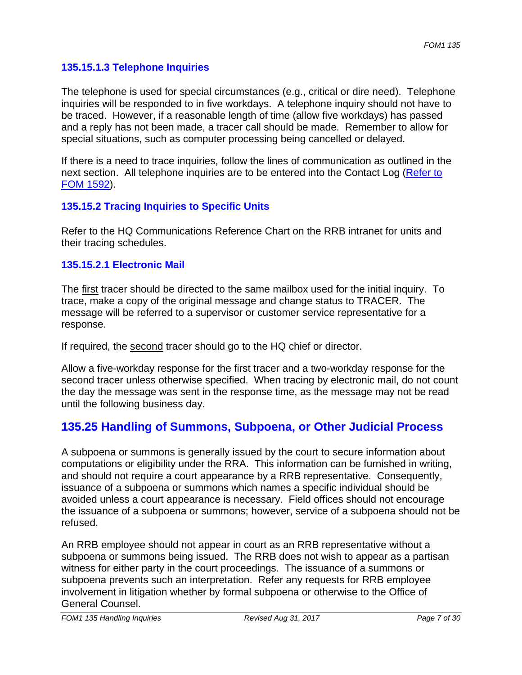## **135.15.1.3 Telephone Inquiries**

The telephone is used for special circumstances (e.g., critical or dire need). Telephone inquiries will be responded to in five workdays. A telephone inquiry should not have to be traced. However, if a reasonable length of time (allow five workdays) has passed and a reply has not been made, a tracer call should be made. Remember to allow for special situations, such as computer processing being cancelled or delayed.

If there is a need to trace inquiries, follow the lines of communication as outlined in the next section. All telephone inquiries are to be entered into the Contact Log (Refer to FOM 1592).

## **135.15.2 Tracing Inquiries to Specific Units**

Refer to the HQ Communications Reference Chart on the RRB intranet for units and their tracing schedules.

#### **135.15.2.1 Electronic Mail**

The first tracer should be directed to the same mailbox used for the initial inquiry. To trace, make a copy of the original message and change status to TRACER. The message will be referred to a supervisor or customer service representative for a response.

If required, the second tracer should go to the HQ chief or director.

Allow a five-workday response for the first tracer and a two-workday response for the second tracer unless otherwise specified. When tracing by electronic mail, do not count the day the message was sent in the response time, as the message may not be read until the following business day.

# **135.25 Handling of Summons, Subpoena, or Other Judicial Process**

A subpoena or summons is generally issued by the court to secure information about computations or eligibility under the RRA. This information can be furnished in writing, and should not require a court appearance by a RRB representative. Consequently, issuance of a subpoena or summons which names a specific individual should be avoided unless a court appearance is necessary. Field offices should not encourage the issuance of a subpoena or summons; however, service of a subpoena should not be refused.

An RRB employee should not appear in court as an RRB representative without a subpoena or summons being issued. The RRB does not wish to appear as a partisan witness for either party in the court proceedings. The issuance of a summons or subpoena prevents such an interpretation. Refer any requests for RRB employee involvement in litigation whether by formal subpoena or otherwise to the Office of General Counsel.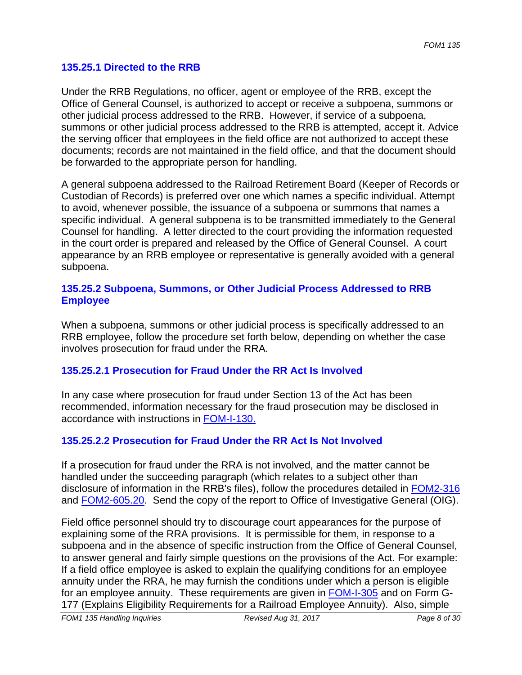#### **135.25.1 Directed to the RRB**

Under the RRB Regulations, no officer, agent or employee of the RRB, except the Office of General Counsel, is authorized to accept or receive a subpoena, summons or other judicial process addressed to the RRB. However, if service of a subpoena, summons or other judicial process addressed to the RRB is attempted, accept it. Advice the serving officer that employees in the field office are not authorized to accept these documents; records are not maintained in the field office, and that the document should be forwarded to the appropriate person for handling.

A general subpoena addressed to the Railroad Retirement Board (Keeper of Records or Custodian of Records) is preferred over one which names a specific individual. Attempt to avoid, whenever possible, the issuance of a subpoena or summons that names a specific individual. A general subpoena is to be transmitted immediately to the General Counsel for handling. A letter directed to the court providing the information requested in the court order is prepared and released by the Office of General Counsel. A court appearance by an RRB employee or representative is generally avoided with a general subpoena.

#### **135.25.2 Subpoena, Summons, or Other Judicial Process Addressed to RRB Employee**

When a subpoena, summons or other judicial process is specifically addressed to an RRB employee, follow the procedure set forth below, depending on whether the case involves prosecution for fraud under the RRA.

## **135.25.2.1 Prosecution for Fraud Under the RR Act Is Involved**

In any case where prosecution for fraud under Section 13 of the Act has been recommended, information necessary for the fraud prosecution may be disclosed in accordance with instructions in FOM-I-130.

## **135.25.2.2 Prosecution for Fraud Under the RR Act Is Not Involved**

disclosure of information in the RRB's files), follow the procedures detailed in FOM2-316 If a prosecution for fraud under the RRA is not involved, and the matter cannot be handled under the succeeding paragraph (which relates to a subject other than and FOM2-605.20. Send the copy of the report to Office of Investigative General (OIG).

Field office personnel should try to discourage court appearances for the purpose of explaining some of the RRA provisions. It is permissible for them, in response to a subpoena and in the absence of specific instruction from the Office of General Counsel, to answer general and fairly simple questions on the provisions of the Act. For example: If a field office employee is asked to explain the qualifying conditions for an employee annuity under the RRA, he may furnish the conditions under which a person is eligible for an employee annuity. These requirements are given in FOM-I-305 and on Form G-177 (Explains Eligibility Requirements for a Railroad Employee Annuity). Also, simple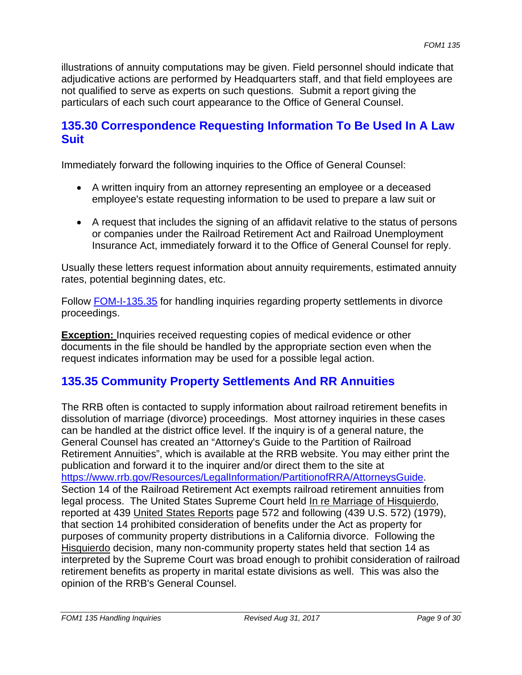illustrations of annuity computations may be given. Field personnel should indicate that adjudicative actions are performed by Headquarters staff, and that field employees are not qualified to serve as experts on such questions. Submit a report giving the particulars of each such court appearance to the Office of General Counsel.

# **135.30 Correspondence Requesting Information To Be Used In A Law Suit**

Immediately forward the following inquiries to the Office of General Counsel:

- A written inquiry from an attorney representing an employee or a deceased employee's estate requesting information to be used to prepare a law suit or
- A request that includes the signing of an affidavit relative to the status of persons or companies under the Railroad Retirement Act and Railroad Unemployment Insurance Act, immediately forward it to the Office of General Counsel for reply.

Usually these letters request information about annuity requirements, estimated annuity rates, potential beginning dates, etc.

Follow FOM-I-135.35 for handling inquiries regarding property settlements in divorce proceedings.

**Exception:** Inquiries received requesting copies of medical evidence or other documents in the file should be handled by the appropriate section even when the request indicates information may be used for a possible legal action.

# **135.35 Community Property Settlements And RR Annuities**

The RRB often is contacted to supply information about railroad retirement benefits in dissolution of marriage (divorce) proceedings. Most attorney inquiries in these cases can be handled at the district office level. If the inquiry is of a general nature, the General Counsel has created an "Attorney's Guide to the Partition of Railroad Retirement Annuities", which is available at the RRB website. You may either print the publication and forward it to the inquirer and/or direct them to the site at https://www.rrb.gov/Resources/LegalInformation/PartitionofRRA/AttorneysGuide. Section 14 of the Railroad Retirement Act exempts railroad retirement annuities from legal process. The United States Supreme Court held In re Marriage of Hisquierdo, reported at 439 United States Reports page 572 and following (439 U.S. 572) (1979), that section 14 prohibited consideration of benefits under the Act as property for purposes of community property distributions in a California divorce. Following the Hisquierdo decision, many non-community property states held that section 14 as interpreted by the Supreme Court was broad enough to prohibit consideration of railroad retirement benefits as property in marital estate divisions as well. This was also the opinion of the RRB's General Counsel.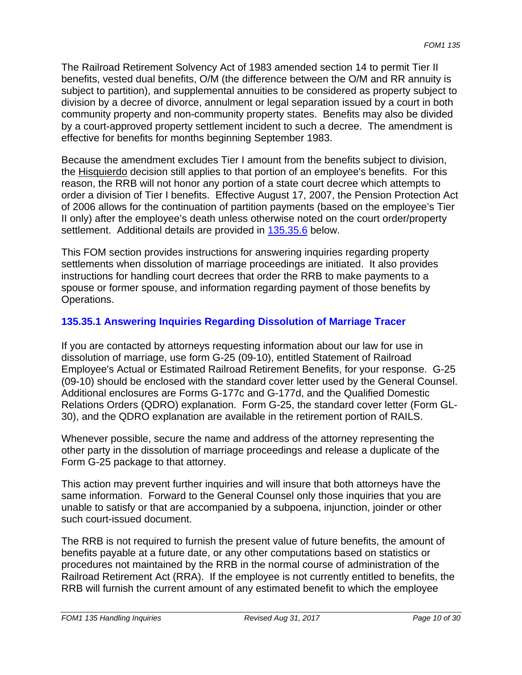The Railroad Retirement Solvency Act of 1983 amended section 14 to permit Tier II benefits, vested dual benefits, O/M (the difference between the O/M and RR annuity is subject to partition), and supplemental annuities to be considered as property subject to division by a decree of divorce, annulment or legal separation issued by a court in both community property and non-community property states. Benefits may also be divided by a court-approved property settlement incident to such a decree. The amendment is effective for benefits for months beginning September 1983.

Because the amendment excludes Tier I amount from the benefits subject to division, the **Hisquierdo** decision still applies to that portion of an employee's benefits. For this reason, the RRB will not honor any portion of a state court decree which attempts to order a division of Tier I benefits. Effective August 17, 2007, the Pension Protection Act of 2006 allows for the continuation of partition payments (based on the employee's Tier II only) after the employee's death unless otherwise noted on the court order/property settlement. Additional details are provided in 135.35.6 below.

This FOM section provides instructions for answering inquiries regarding property settlements when dissolution of marriage proceedings are initiated. It also provides instructions for handling court decrees that order the RRB to make payments to a spouse or former spouse, and information regarding payment of those benefits by Operations.

## **135.35.1 Answering Inquiries Regarding Dissolution of Marriage Tracer**

If you are contacted by attorneys requesting information about our law for use in dissolution of marriage, use form G-25 (09-10), entitled Statement of Railroad Employee's Actual or Estimated Railroad Retirement Benefits, for your response. G-25 (09-10) should be enclosed with the standard cover letter used by the General Counsel. Additional enclosures are Forms G-177c and G-177d, and the Qualified Domestic Relations Orders (QDRO) explanation. Form G-25, the standard cover letter (Form GL-30), and the QDRO explanation are available in the retirement portion of RAILS.

Whenever possible, secure the name and address of the attorney representing the other party in the dissolution of marriage proceedings and release a duplicate of the Form G-25 package to that attorney.

This action may prevent further inquiries and will insure that both attorneys have the same information. Forward to the General Counsel only those inquiries that you are unable to satisfy or that are accompanied by a subpoena, injunction, joinder or other such court-issued document.

The RRB is not required to furnish the present value of future benefits, the amount of benefits payable at a future date, or any other computations based on statistics or procedures not maintained by the RRB in the normal course of administration of the Railroad Retirement Act (RRA). If the employee is not currently entitled to benefits, the RRB will furnish the current amount of any estimated benefit to which the employee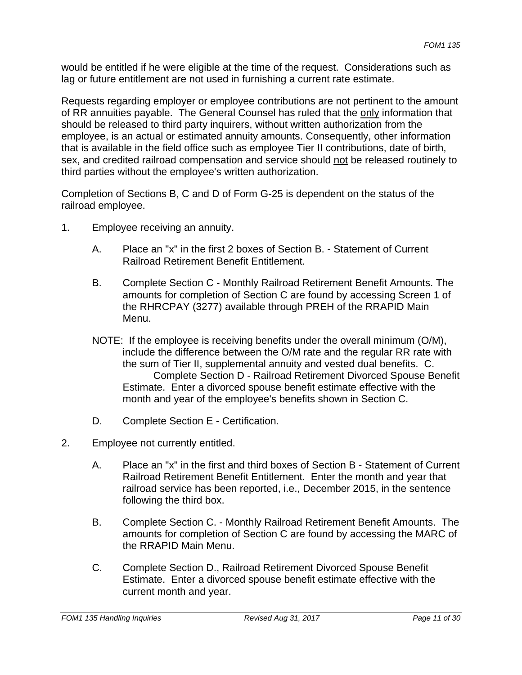would be entitled if he were eligible at the time of the request. Considerations such as lag or future entitlement are not used in furnishing a current rate estimate.

Requests regarding employer or employee contributions are not pertinent to the amount of RR annuities payable. The General Counsel has ruled that the only information that should be released to third party inquirers, without written authorization from the employee, is an actual or estimated annuity amounts. Consequently, other information that is available in the field office such as employee Tier II contributions, date of birth, sex, and credited railroad compensation and service should not be released routinely to third parties without the employee's written authorization.

Completion of Sections B, C and D of Form G-25 is dependent on the status of the railroad employee.

- 1. Employee receiving an annuity.
	- A. Place an "x" in the first 2 boxes of Section B. Statement of Current Railroad Retirement Benefit Entitlement.
	- B. Complete Section C Monthly Railroad Retirement Benefit Amounts. The amounts for completion of Section C are found by accessing Screen 1 of the RHRCPAY (3277) available through PREH of the RRAPID Main Menu.
	- NOTE: If the employee is receiving benefits under the overall minimum (O/M), include the difference between the O/M rate and the regular RR rate with the sum of Tier II, supplemental annuity and vested dual benefits. C. Complete Section D - Railroad Retirement Divorced Spouse Benefit Estimate. Enter a divorced spouse benefit estimate effective with the month and year of the employee's benefits shown in Section C.
	- D. Complete Section E Certification.
- 2. Employee not currently entitled.
	- A. Place an "x" in the first and third boxes of Section B Statement of Current Railroad Retirement Benefit Entitlement. Enter the month and year that railroad service has been reported, i.e., December 2015, in the sentence following the third box.
	- B. Complete Section C. Monthly Railroad Retirement Benefit Amounts. The amounts for completion of Section C are found by accessing the MARC of the RRAPID Main Menu.
	- C. Complete Section D., Railroad Retirement Divorced Spouse Benefit Estimate. Enter a divorced spouse benefit estimate effective with the current month and year.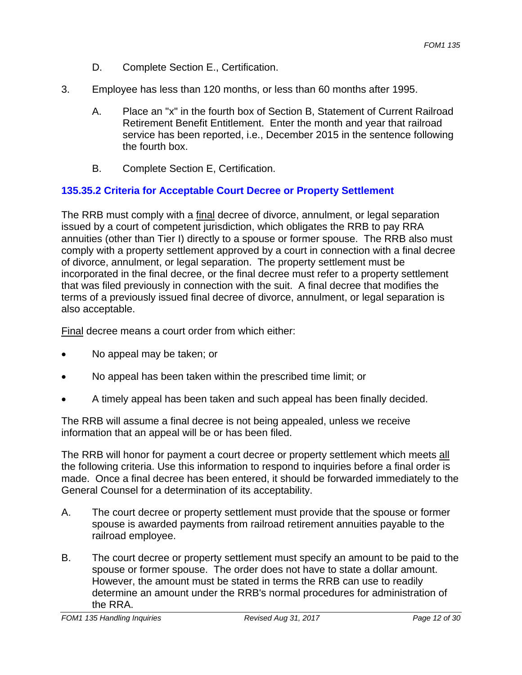- D. Complete Section E., Certification.
- 3. Employee has less than 120 months, or less than 60 months after 1995.
	- A. Place an "x" in the fourth box of Section B, Statement of Current Railroad Retirement Benefit Entitlement. Enter the month and year that railroad service has been reported, i.e., December 2015 in the sentence following the fourth box.
	- B. Complete Section E, Certification.

## **135.35.2 Criteria for Acceptable Court Decree or Property Settlement**

The RRB must comply with a final decree of divorce, annulment, or legal separation issued by a court of competent jurisdiction, which obligates the RRB to pay RRA annuities (other than Tier I) directly to a spouse or former spouse. The RRB also must comply with a property settlement approved by a court in connection with a final decree of divorce, annulment, or legal separation. The property settlement must be incorporated in the final decree, or the final decree must refer to a property settlement that was filed previously in connection with the suit. A final decree that modifies the terms of a previously issued final decree of divorce, annulment, or legal separation is also acceptable.

Final decree means a court order from which either:

- No appeal may be taken; or
- No appeal has been taken within the prescribed time limit; or
- A timely appeal has been taken and such appeal has been finally decided.

The RRB will assume a final decree is not being appealed, unless we receive information that an appeal will be or has been filed.

The RRB will honor for payment a court decree or property settlement which meets all the following criteria. Use this information to respond to inquiries before a final order is made. Once a final decree has been entered, it should be forwarded immediately to the General Counsel for a determination of its acceptability.

- A. The court decree or property settlement must provide that the spouse or former spouse is awarded payments from railroad retirement annuities payable to the railroad employee.
- B. The court decree or property settlement must specify an amount to be paid to the spouse or former spouse. The order does not have to state a dollar amount. However, the amount must be stated in terms the RRB can use to readily determine an amount under the RRB's normal procedures for administration of the RRA.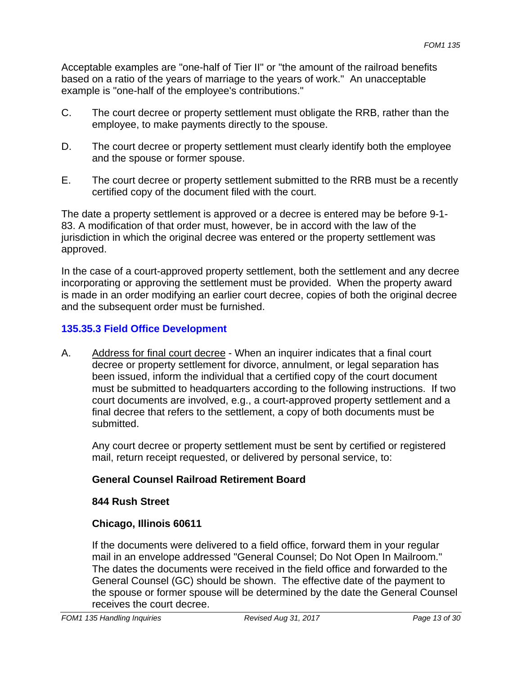Acceptable examples are "one-half of Tier II" or "the amount of the railroad benefits based on a ratio of the years of marriage to the years of work." An unacceptable example is "one-half of the employee's contributions."

- C. The court decree or property settlement must obligate the RRB, rather than the employee, to make payments directly to the spouse.
- D. The court decree or property settlement must clearly identify both the employee and the spouse or former spouse.
- E. The court decree or property settlement submitted to the RRB must be a recently certified copy of the document filed with the court.

The date a property settlement is approved or a decree is entered may be before 9-1- 83. A modification of that order must, however, be in accord with the law of the jurisdiction in which the original decree was entered or the property settlement was approved.

In the case of a court-approved property settlement, both the settlement and any decree incorporating or approving the settlement must be provided. When the property award is made in an order modifying an earlier court decree, copies of both the original decree and the subsequent order must be furnished.

## **135.35.3 Field Office Development**

A. Address for final court decree - When an inquirer indicates that a final court decree or property settlement for divorce, annulment, or legal separation has been issued, inform the individual that a certified copy of the court document must be submitted to headquarters according to the following instructions. If two court documents are involved, e.g., a court-approved property settlement and a final decree that refers to the settlement, a copy of both documents must be submitted.

Any court decree or property settlement must be sent by certified or registered mail, return receipt requested, or delivered by personal service, to:

## **General Counsel Railroad Retirement Board**

## **844 Rush Street**

## **Chicago, Illinois 60611**

If the documents were delivered to a field office, forward them in your regular mail in an envelope addressed "General Counsel; Do Not Open In Mailroom." The dates the documents were received in the field office and forwarded to the General Counsel (GC) should be shown. The effective date of the payment to the spouse or former spouse will be determined by the date the General Counsel receives the court decree.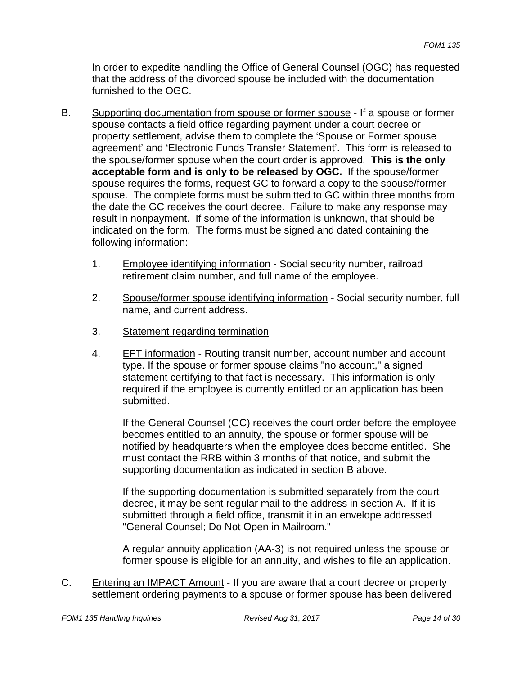In order to expedite handling the Office of General Counsel (OGC) has requested that the address of the divorced spouse be included with the documentation furnished to the OGC.

- B. Supporting documentation from spouse or former spouse If a spouse or former spouse contacts a field office regarding payment under a court decree or property settlement, advise them to complete the 'Spouse or Former spouse agreement' and 'Electronic Funds Transfer Statement'. This form is released to the spouse/former spouse when the court order is approved. **This is the only acceptable form and is only to be released by OGC.** If the spouse/former spouse requires the forms, request GC to forward a copy to the spouse/former spouse. The complete forms must be submitted to GC within three months from the date the GC receives the court decree. Failure to make any response may result in nonpayment. If some of the information is unknown, that should be indicated on the form. The forms must be signed and dated containing the following information:
	- 1. Employee identifying information Social security number, railroad retirement claim number, and full name of the employee.
	- 2. Spouse/former spouse identifying information Social security number, full name, and current address.
	- 3. Statement regarding termination
	- 4. EFT information Routing transit number, account number and account type. If the spouse or former spouse claims "no account," a signed statement certifying to that fact is necessary. This information is only required if the employee is currently entitled or an application has been submitted.

If the General Counsel (GC) receives the court order before the employee becomes entitled to an annuity, the spouse or former spouse will be notified by headquarters when the employee does become entitled. She must contact the RRB within 3 months of that notice, and submit the supporting documentation as indicated in section B above.

If the supporting documentation is submitted separately from the court decree, it may be sent regular mail to the address in section A. If it is submitted through a field office, transmit it in an envelope addressed "General Counsel; Do Not Open in Mailroom."

A regular annuity application (AA-3) is not required unless the spouse or former spouse is eligible for an annuity, and wishes to file an application.

C. Entering an IMPACT Amount - If you are aware that a court decree or property settlement ordering payments to a spouse or former spouse has been delivered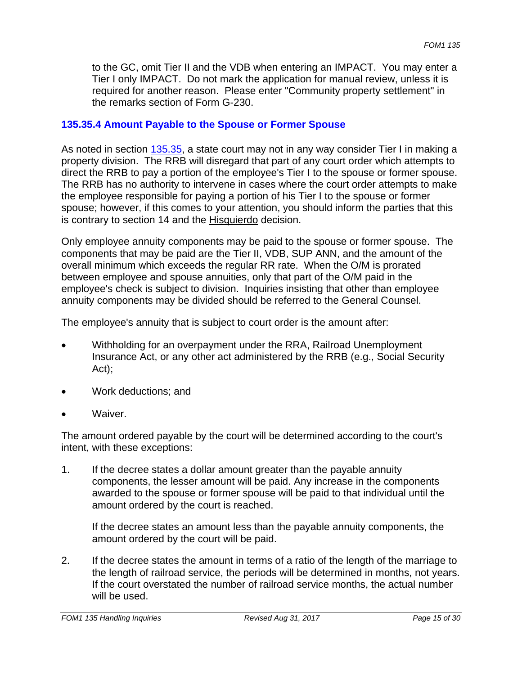to the GC, omit Tier II and the VDB when entering an IMPACT. You may enter a Tier I only IMPACT. Do not mark the application for manual review, unless it is required for another reason. Please enter "Community property settlement" in the remarks section of Form G-230.

#### **135.35.4 Amount Payable to the Spouse or Former Spouse**

As noted in section 135.35, a state court may not in any way consider Tier I in making a property division. The RRB will disregard that part of any court order which attempts to direct the RRB to pay a portion of the employee's Tier I to the spouse or former spouse. The RRB has no authority to intervene in cases where the court order attempts to make the employee responsible for paying a portion of his Tier I to the spouse or former spouse; however, if this comes to your attention, you should inform the parties that this is contrary to section 14 and the Hisquierdo decision.

Only employee annuity components may be paid to the spouse or former spouse. The components that may be paid are the Tier II, VDB, SUP ANN, and the amount of the overall minimum which exceeds the regular RR rate. When the O/M is prorated between employee and spouse annuities, only that part of the O/M paid in the employee's check is subject to division. Inquiries insisting that other than employee annuity components may be divided should be referred to the General Counsel.

The employee's annuity that is subject to court order is the amount after:

- Withholding for an overpayment under the RRA, Railroad Unemployment Insurance Act, or any other act administered by the RRB (e.g., Social Security Act);
- Work deductions; and
- Waiver.

The amount ordered payable by the court will be determined according to the court's intent, with these exceptions:

1. If the decree states a dollar amount greater than the payable annuity components, the lesser amount will be paid. Any increase in the components awarded to the spouse or former spouse will be paid to that individual until the amount ordered by the court is reached.

If the decree states an amount less than the payable annuity components, the amount ordered by the court will be paid.

2. If the decree states the amount in terms of a ratio of the length of the marriage to the length of railroad service, the periods will be determined in months, not years. If the court overstated the number of railroad service months, the actual number will be used.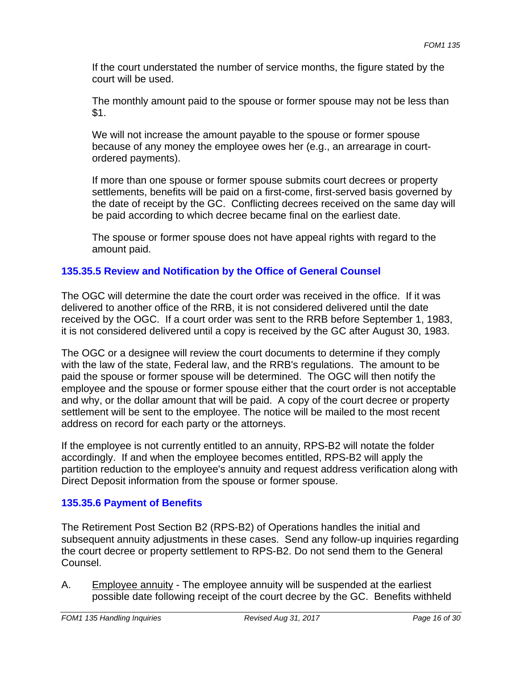If the court understated the number of service months, the figure stated by the court will be used.

The monthly amount paid to the spouse or former spouse may not be less than \$1.

We will not increase the amount payable to the spouse or former spouse because of any money the employee owes her (e.g., an arrearage in courtordered payments).

If more than one spouse or former spouse submits court decrees or property settlements, benefits will be paid on a first-come, first-served basis governed by the date of receipt by the GC. Conflicting decrees received on the same day will be paid according to which decree became final on the earliest date.

The spouse or former spouse does not have appeal rights with regard to the amount paid.

## **135.35.5 Review and Notification by the Office of General Counsel**

The OGC will determine the date the court order was received in the office. If it was delivered to another office of the RRB, it is not considered delivered until the date received by the OGC. If a court order was sent to the RRB before September 1, 1983, it is not considered delivered until a copy is received by the GC after August 30, 1983.

The OGC or a designee will review the court documents to determine if they comply with the law of the state, Federal law, and the RRB's regulations. The amount to be paid the spouse or former spouse will be determined. The OGC will then notify the employee and the spouse or former spouse either that the court order is not acceptable and why, or the dollar amount that will be paid. A copy of the court decree or property settlement will be sent to the employee. The notice will be mailed to the most recent address on record for each party or the attorneys.

If the employee is not currently entitled to an annuity, RPS-B2 will notate the folder accordingly. If and when the employee becomes entitled, RPS-B2 will apply the partition reduction to the employee's annuity and request address verification along with Direct Deposit information from the spouse or former spouse.

## **135.35.6 Payment of Benefits**

The Retirement Post Section B2 (RPS-B2) of Operations handles the initial and subsequent annuity adjustments in these cases. Send any follow-up inquiries regarding the court decree or property settlement to RPS-B2. Do not send them to the General Counsel.

A. Employee annuity - The employee annuity will be suspended at the earliest possible date following receipt of the court decree by the GC. Benefits withheld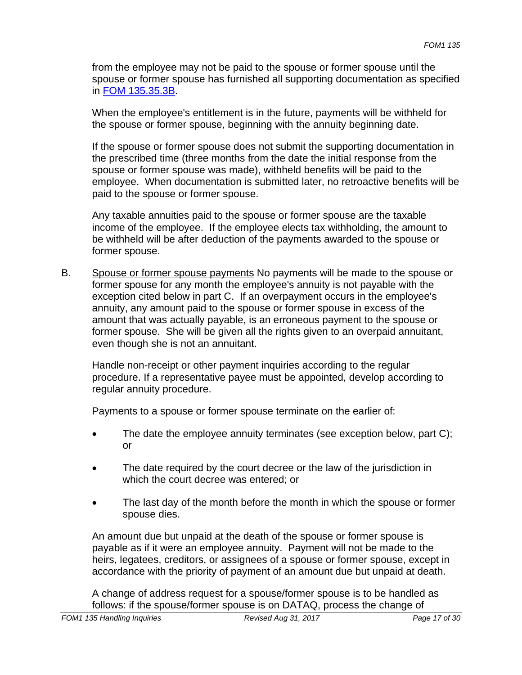from the employee may not be paid to the spouse or former spouse until the spouse or former spouse has furnished all supporting documentation as specified in FOM 135.35.3B.

When the employee's entitlement is in the future, payments will be withheld for the spouse or former spouse, beginning with the annuity beginning date.

If the spouse or former spouse does not submit the supporting documentation in the prescribed time (three months from the date the initial response from the spouse or former spouse was made), withheld benefits will be paid to the employee. When documentation is submitted later, no retroactive benefits will be paid to the spouse or former spouse.

Any taxable annuities paid to the spouse or former spouse are the taxable income of the employee. If the employee elects tax withholding, the amount to be withheld will be after deduction of the payments awarded to the spouse or former spouse.

B. Spouse or former spouse payments No payments will be made to the spouse or former spouse for any month the employee's annuity is not payable with the exception cited below in part C. If an overpayment occurs in the employee's annuity, any amount paid to the spouse or former spouse in excess of the amount that was actually payable, is an erroneous payment to the spouse or former spouse. She will be given all the rights given to an overpaid annuitant, even though she is not an annuitant.

Handle non-receipt or other payment inquiries according to the regular procedure. If a representative payee must be appointed, develop according to regular annuity procedure.

Payments to a spouse or former spouse terminate on the earlier of:

- The date the employee annuity terminates (see exception below, part C); or
- The date required by the court decree or the law of the jurisdiction in which the court decree was entered; or
- The last day of the month before the month in which the spouse or former spouse dies.

An amount due but unpaid at the death of the spouse or former spouse is payable as if it were an employee annuity. Payment will not be made to the heirs, legatees, creditors, or assignees of a spouse or former spouse, except in accordance with the priority of payment of an amount due but unpaid at death.

A change of address request for a spouse/former spouse is to be handled as follows: if the spouse/former spouse is on DATAQ, process the change of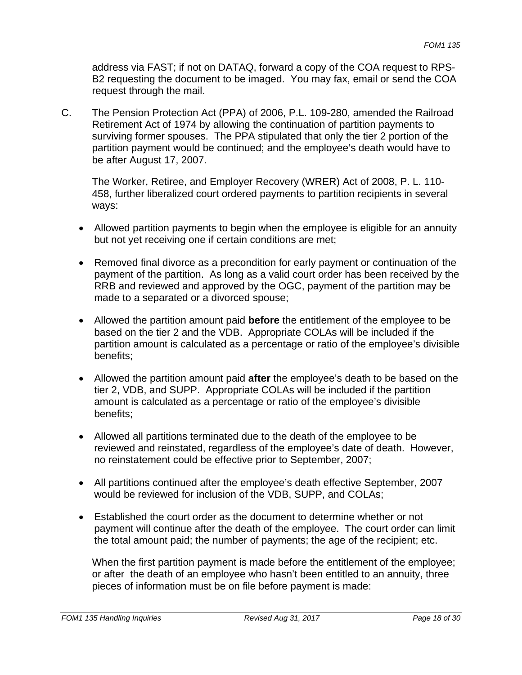address via FAST; if not on DATAQ, forward a copy of the COA request to RPS-B2 requesting the document to be imaged. You may fax, email or send the COA request through the mail.

C. The Pension Protection Act (PPA) of 2006, P.L. 109-280, amended the Railroad Retirement Act of 1974 by allowing the continuation of partition payments to surviving former spouses. The PPA stipulated that only the tier 2 portion of the partition payment would be continued; and the employee's death would have to be after August 17, 2007.

The Worker, Retiree, and Employer Recovery (WRER) Act of 2008, P. L. 110- 458, further liberalized court ordered payments to partition recipients in several ways:

- Allowed partition payments to begin when the employee is eligible for an annuity but not yet receiving one if certain conditions are met;
- Removed final divorce as a precondition for early payment or continuation of the payment of the partition. As long as a valid court order has been received by the RRB and reviewed and approved by the OGC, payment of the partition may be made to a separated or a divorced spouse;
- Allowed the partition amount paid **before** the entitlement of the employee to be based on the tier 2 and the VDB. Appropriate COLAs will be included if the partition amount is calculated as a percentage or ratio of the employee's divisible benefits;
- Allowed the partition amount paid **after** the employee's death to be based on the tier 2, VDB, and SUPP. Appropriate COLAs will be included if the partition amount is calculated as a percentage or ratio of the employee's divisible benefits;
- Allowed all partitions terminated due to the death of the employee to be reviewed and reinstated, regardless of the employee's date of death. However, no reinstatement could be effective prior to September, 2007;
- All partitions continued after the employee's death effective September, 2007 would be reviewed for inclusion of the VDB, SUPP, and COLAs;
- Established the court order as the document to determine whether or not payment will continue after the death of the employee. The court order can limit the total amount paid; the number of payments; the age of the recipient; etc.

When the first partition payment is made before the entitlement of the employee; or after the death of an employee who hasn't been entitled to an annuity, three pieces of information must be on file before payment is made: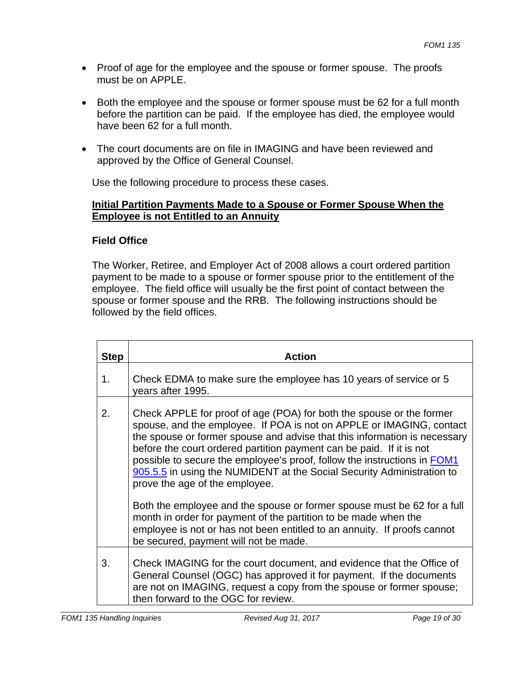- Proof of age for the employee and the spouse or former spouse. The proofs must be on APPLE.
- Both the employee and the spouse or former spouse must be 62 for a full month before the partition can be paid. If the employee has died, the employee would have been 62 for a full month.
- The court documents are on file in IMAGING and have been reviewed and approved by the Office of General Counsel.

Use the following procedure to process these cases.

## **Initial Partition Payments Made to a Spouse or Former Spouse When the Employee is not Entitled to an Annuity**

## **Field Office**

The Worker, Retiree, and Employer Act of 2008 allows a court ordered partition payment to be made to a spouse or former spouse prior to the entitlement of the employee. The field office will usually be the first point of contact between the spouse or former spouse and the RRB. The following instructions should be followed by the field offices.

| <b>Step</b> | <b>Action</b>                                                                                                                                                                                                                                                                                                                                                                                                                                                                             |
|-------------|-------------------------------------------------------------------------------------------------------------------------------------------------------------------------------------------------------------------------------------------------------------------------------------------------------------------------------------------------------------------------------------------------------------------------------------------------------------------------------------------|
| 1.          | Check EDMA to make sure the employee has 10 years of service or 5<br>years after 1995.                                                                                                                                                                                                                                                                                                                                                                                                    |
| 2.          | Check APPLE for proof of age (POA) for both the spouse or the former<br>spouse, and the employee. If POA is not on APPLE or IMAGING, contact<br>the spouse or former spouse and advise that this information is necessary<br>before the court ordered partition payment can be paid. If it is not<br>possible to secure the employee's proof, follow the instructions in FOM1<br>905.5.5 in using the NUMIDENT at the Social Security Administration to<br>prove the age of the employee. |
|             | Both the employee and the spouse or former spouse must be 62 for a full<br>month in order for payment of the partition to be made when the<br>employee is not or has not been entitled to an annuity. If proofs cannot<br>be secured, payment will not be made.                                                                                                                                                                                                                           |
| 3.          | Check IMAGING for the court document, and evidence that the Office of<br>General Counsel (OGC) has approved it for payment. If the documents<br>are not on IMAGING, request a copy from the spouse or former spouse;<br>then forward to the OGC for review.                                                                                                                                                                                                                               |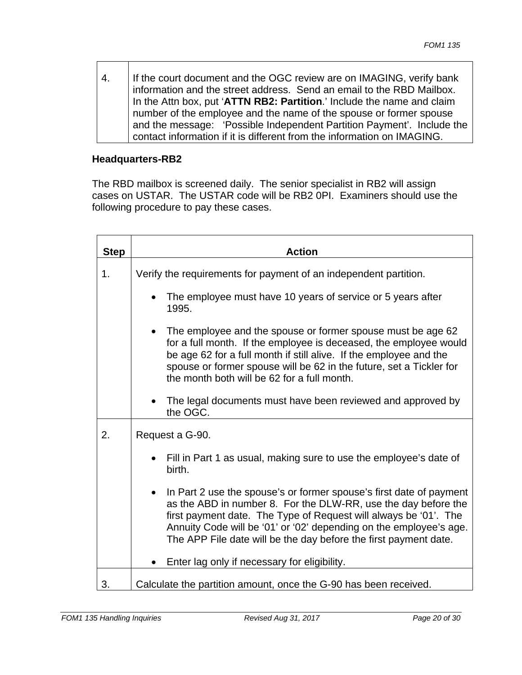4. If the court document and the OGC review are on IMAGING, verify bank information and the street address. Send an email to the RBD Mailbox. In the Attn box, put '**ATTN RB2: Partition**.' Include the name and claim number of the employee and the name of the spouse or former spouse and the message: 'Possible Independent Partition Payment'. Include the contact information if it is different from the information on IMAGING.

#### **Headquarters-RB2**

The RBD mailbox is screened daily. The senior specialist in RB2 will assign cases on USTAR. The USTAR code will be RB2 0PI. Examiners should use the following procedure to pay these cases.

| <b>Step</b> | <b>Action</b>                                                                                                                                                                                                                                                                                                                                       |
|-------------|-----------------------------------------------------------------------------------------------------------------------------------------------------------------------------------------------------------------------------------------------------------------------------------------------------------------------------------------------------|
| 1.          | Verify the requirements for payment of an independent partition.                                                                                                                                                                                                                                                                                    |
|             | The employee must have 10 years of service or 5 years after<br>1995.                                                                                                                                                                                                                                                                                |
|             | The employee and the spouse or former spouse must be age 62<br>for a full month. If the employee is deceased, the employee would<br>be age 62 for a full month if still alive. If the employee and the<br>spouse or former spouse will be 62 in the future, set a Tickler for<br>the month both will be 62 for a full month.                        |
|             | The legal documents must have been reviewed and approved by<br>the OGC.                                                                                                                                                                                                                                                                             |
| 2.          | Request a G-90.                                                                                                                                                                                                                                                                                                                                     |
|             | Fill in Part 1 as usual, making sure to use the employee's date of<br>birth.                                                                                                                                                                                                                                                                        |
|             | In Part 2 use the spouse's or former spouse's first date of payment<br>as the ABD in number 8. For the DLW-RR, use the day before the<br>first payment date. The Type of Request will always be '01'. The<br>Annuity Code will be '01' or '02' depending on the employee's age.<br>The APP File date will be the day before the first payment date. |
|             | Enter lag only if necessary for eligibility.                                                                                                                                                                                                                                                                                                        |
| 3.          | Calculate the partition amount, once the G-90 has been received.                                                                                                                                                                                                                                                                                    |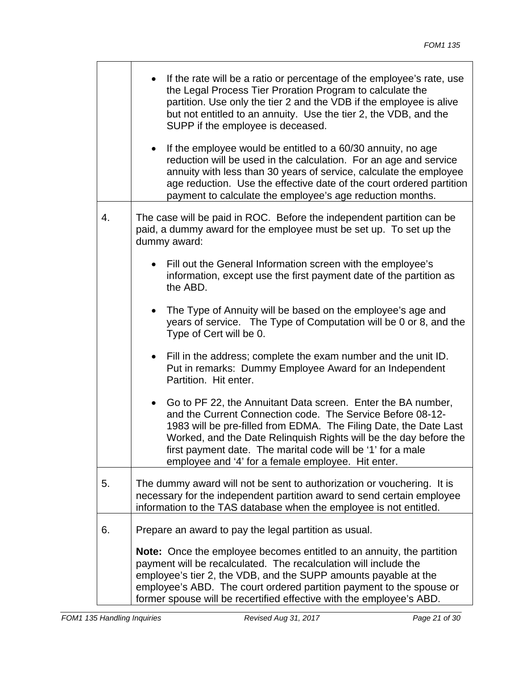|    | If the rate will be a ratio or percentage of the employee's rate, use<br>the Legal Process Tier Proration Program to calculate the<br>partition. Use only the tier 2 and the VDB if the employee is alive<br>but not entitled to an annuity. Use the tier 2, the VDB, and the<br>SUPP if the employee is deceased.                                                                                     |
|----|--------------------------------------------------------------------------------------------------------------------------------------------------------------------------------------------------------------------------------------------------------------------------------------------------------------------------------------------------------------------------------------------------------|
|    | If the employee would be entitled to a 60/30 annuity, no age<br>$\bullet$<br>reduction will be used in the calculation. For an age and service<br>annuity with less than 30 years of service, calculate the employee<br>age reduction. Use the effective date of the court ordered partition<br>payment to calculate the employee's age reduction months.                                              |
| 4. | The case will be paid in ROC. Before the independent partition can be<br>paid, a dummy award for the employee must be set up. To set up the<br>dummy award:                                                                                                                                                                                                                                            |
|    | Fill out the General Information screen with the employee's<br>information, except use the first payment date of the partition as<br>the ABD.                                                                                                                                                                                                                                                          |
|    | The Type of Annuity will be based on the employee's age and<br>$\bullet$<br>years of service. The Type of Computation will be 0 or 8, and the<br>Type of Cert will be 0.                                                                                                                                                                                                                               |
|    | Fill in the address; complete the exam number and the unit ID.<br>$\bullet$<br>Put in remarks: Dummy Employee Award for an Independent<br>Partition. Hit enter.                                                                                                                                                                                                                                        |
|    | Go to PF 22, the Annuitant Data screen. Enter the BA number,<br>$\bullet$<br>and the Current Connection code. The Service Before 08-12-<br>1983 will be pre-filled from EDMA. The Filing Date, the Date Last<br>Worked, and the Date Relinquish Rights will be the day before the<br>first payment date. The marital code will be '1' for a male<br>employee and '4' for a female employee. Hit enter. |
| 5. | The dummy award will not be sent to authorization or vouchering. It is<br>necessary for the independent partition award to send certain employee<br>information to the TAS database when the employee is not entitled.                                                                                                                                                                                 |
| 6. | Prepare an award to pay the legal partition as usual.                                                                                                                                                                                                                                                                                                                                                  |
|    | <b>Note:</b> Once the employee becomes entitled to an annuity, the partition<br>payment will be recalculated. The recalculation will include the<br>employee's tier 2, the VDB, and the SUPP amounts payable at the<br>employee's ABD. The court ordered partition payment to the spouse or<br>former spouse will be recertified effective with the employee's ABD.                                    |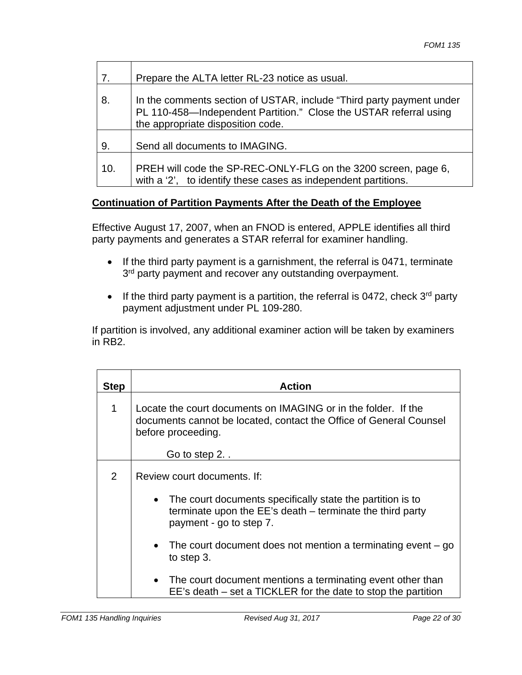|  | 7.  | Prepare the ALTA letter RL-23 notice as usual.                                                                                                                                 |
|--|-----|--------------------------------------------------------------------------------------------------------------------------------------------------------------------------------|
|  | 8.  | In the comments section of USTAR, include "Third party payment under<br>PL 110-458-Independent Partition." Close the USTAR referral using<br>the appropriate disposition code. |
|  | 9.  | Send all documents to IMAGING.                                                                                                                                                 |
|  | 10. | PREH will code the SP-REC-ONLY-FLG on the 3200 screen, page 6,<br>with a '2', to identify these cases as independent partitions.                                               |

## **Continuation of Partition Payments After the Death of the Employee**

Effective August 17, 2007, when an FNOD is entered, APPLE identifies all third party payments and generates a STAR referral for examiner handling.

- If the third party payment is a garnishment, the referral is 0471, terminate 3<sup>rd</sup> party payment and recover any outstanding overpayment.
- If the third party payment is a partition, the referral is 0472, check  $3<sup>rd</sup>$  party payment adjustment under PL 109-280.

If partition is involved, any additional examiner action will be taken by examiners in RB2.

| <b>Step</b> | <b>Action</b>                                                                                                                                                              |
|-------------|----------------------------------------------------------------------------------------------------------------------------------------------------------------------------|
| 1           | Locate the court documents on IMAGING or in the folder. If the<br>documents cannot be located, contact the Office of General Counsel<br>before proceeding.<br>Go to step 2 |
| 2           | Review court documents. If:                                                                                                                                                |
|             | The court documents specifically state the partition is to<br>$\bullet$<br>terminate upon the EE's death – terminate the third party<br>payment - go to step 7.            |
|             | The court document does not mention a terminating event $-$ go<br>$\bullet$<br>to step 3.                                                                                  |
|             | • The court document mentions a terminating event other than<br>EE's death – set a TICKLER for the date to stop the partition                                              |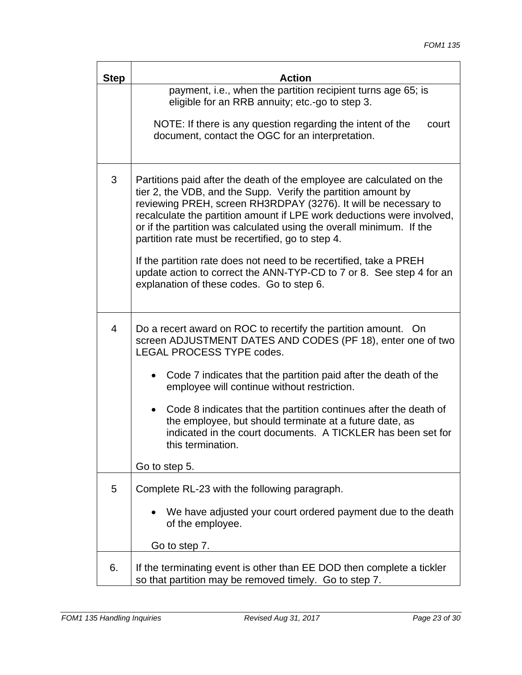$\overline{\phantom{a}}$ 

| <b>Step</b> | <b>Action</b>                                                                                                                                                                                                                                                                                                                                                                                                                                                                          |
|-------------|----------------------------------------------------------------------------------------------------------------------------------------------------------------------------------------------------------------------------------------------------------------------------------------------------------------------------------------------------------------------------------------------------------------------------------------------------------------------------------------|
|             | payment, i.e., when the partition recipient turns age 65; is<br>eligible for an RRB annuity; etc.-go to step 3.                                                                                                                                                                                                                                                                                                                                                                        |
|             | NOTE: If there is any question regarding the intent of the<br>court<br>document, contact the OGC for an interpretation.                                                                                                                                                                                                                                                                                                                                                                |
| 3           | Partitions paid after the death of the employee are calculated on the<br>tier 2, the VDB, and the Supp. Verify the partition amount by<br>reviewing PREH, screen RH3RDPAY (3276). It will be necessary to<br>recalculate the partition amount if LPE work deductions were involved,<br>or if the partition was calculated using the overall minimum. If the<br>partition rate must be recertified, go to step 4.<br>If the partition rate does not need to be recertified, take a PREH |
|             | update action to correct the ANN-TYP-CD to 7 or 8. See step 4 for an<br>explanation of these codes. Go to step 6.                                                                                                                                                                                                                                                                                                                                                                      |
| 4           | Do a recert award on ROC to recertify the partition amount. On<br>screen ADJUSTMENT DATES AND CODES (PF 18), enter one of two<br><b>LEGAL PROCESS TYPE codes.</b>                                                                                                                                                                                                                                                                                                                      |
|             | Code 7 indicates that the partition paid after the death of the<br>$\bullet$<br>employee will continue without restriction.                                                                                                                                                                                                                                                                                                                                                            |
|             | Code 8 indicates that the partition continues after the death of<br>$\bullet$<br>the employee, but should terminate at a future date, as<br>indicated in the court documents. A TICKLER has been set for<br>this termination.                                                                                                                                                                                                                                                          |
|             | Go to step 5.                                                                                                                                                                                                                                                                                                                                                                                                                                                                          |
| 5           | Complete RL-23 with the following paragraph.                                                                                                                                                                                                                                                                                                                                                                                                                                           |
|             | We have adjusted your court ordered payment due to the death<br>of the employee.                                                                                                                                                                                                                                                                                                                                                                                                       |
|             | Go to step 7.                                                                                                                                                                                                                                                                                                                                                                                                                                                                          |
| 6.          | If the terminating event is other than EE DOD then complete a tickler<br>so that partition may be removed timely. Go to step 7.                                                                                                                                                                                                                                                                                                                                                        |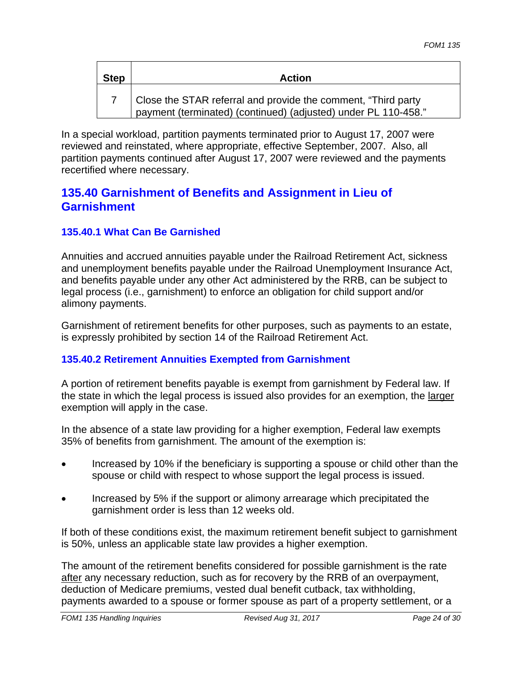| <b>Step</b> | <b>Action</b>                                                                                                                   |
|-------------|---------------------------------------------------------------------------------------------------------------------------------|
|             | Close the STAR referral and provide the comment, "Third party<br>payment (terminated) (continued) (adjusted) under PL 110-458." |

In a special workload, partition payments terminated prior to August 17, 2007 were reviewed and reinstated, where appropriate, effective September, 2007. Also, all partition payments continued after August 17, 2007 were reviewed and the payments recertified where necessary.

# **135.40 Garnishment of Benefits and Assignment in Lieu of Garnishment**

## **135.40.1 What Can Be Garnished**

Annuities and accrued annuities payable under the Railroad Retirement Act, sickness and unemployment benefits payable under the Railroad Unemployment Insurance Act, and benefits payable under any other Act administered by the RRB, can be subject to legal process (i.e., garnishment) to enforce an obligation for child support and/or alimony payments.

Garnishment of retirement benefits for other purposes, such as payments to an estate, is expressly prohibited by section 14 of the Railroad Retirement Act.

## **135.40.2 Retirement Annuities Exempted from Garnishment**

A portion of retirement benefits payable is exempt from garnishment by Federal law. If the state in which the legal process is issued also provides for an exemption, the larger exemption will apply in the case.

In the absence of a state law providing for a higher exemption, Federal law exempts 35% of benefits from garnishment. The amount of the exemption is:

- Increased by 10% if the beneficiary is supporting a spouse or child other than the spouse or child with respect to whose support the legal process is issued.
- Increased by 5% if the support or alimony arrearage which precipitated the garnishment order is less than 12 weeks old.

If both of these conditions exist, the maximum retirement benefit subject to garnishment is 50%, unless an applicable state law provides a higher exemption.

The amount of the retirement benefits considered for possible garnishment is the rate after any necessary reduction, such as for recovery by the RRB of an overpayment, deduction of Medicare premiums, vested dual benefit cutback, tax withholding, payments awarded to a spouse or former spouse as part of a property settlement, or a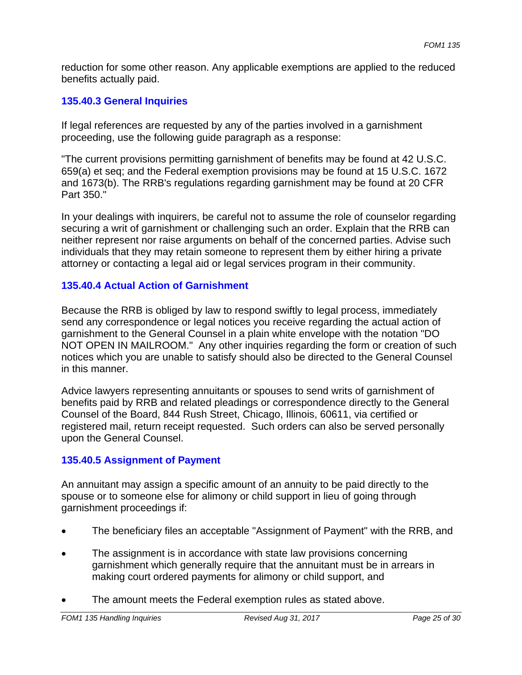reduction for some other reason. Any applicable exemptions are applied to the reduced benefits actually paid.

#### **135.40.3 General Inquiries**

If legal references are requested by any of the parties involved in a garnishment proceeding, use the following guide paragraph as a response:

"The current provisions permitting garnishment of benefits may be found at 42 U.S.C. 659(a) et seq; and the Federal exemption provisions may be found at 15 U.S.C. 1672 and 1673(b). The RRB's regulations regarding garnishment may be found at 20 CFR Part 350."

In your dealings with inquirers, be careful not to assume the role of counselor regarding securing a writ of garnishment or challenging such an order. Explain that the RRB can neither represent nor raise arguments on behalf of the concerned parties. Advise such individuals that they may retain someone to represent them by either hiring a private attorney or contacting a legal aid or legal services program in their community.

## **135.40.4 Actual Action of Garnishment**

Because the RRB is obliged by law to respond swiftly to legal process, immediately send any correspondence or legal notices you receive regarding the actual action of garnishment to the General Counsel in a plain white envelope with the notation "DO NOT OPEN IN MAILROOM." Any other inquiries regarding the form or creation of such notices which you are unable to satisfy should also be directed to the General Counsel in this manner.

Advice lawyers representing annuitants or spouses to send writs of garnishment of benefits paid by RRB and related pleadings or correspondence directly to the General Counsel of the Board, 844 Rush Street, Chicago, Illinois, 60611, via certified or registered mail, return receipt requested. Such orders can also be served personally upon the General Counsel.

## **135.40.5 Assignment of Payment**

An annuitant may assign a specific amount of an annuity to be paid directly to the spouse or to someone else for alimony or child support in lieu of going through garnishment proceedings if:

- The beneficiary files an acceptable "Assignment of Payment" with the RRB, and
- The assignment is in accordance with state law provisions concerning garnishment which generally require that the annuitant must be in arrears in making court ordered payments for alimony or child support, and
- The amount meets the Federal exemption rules as stated above.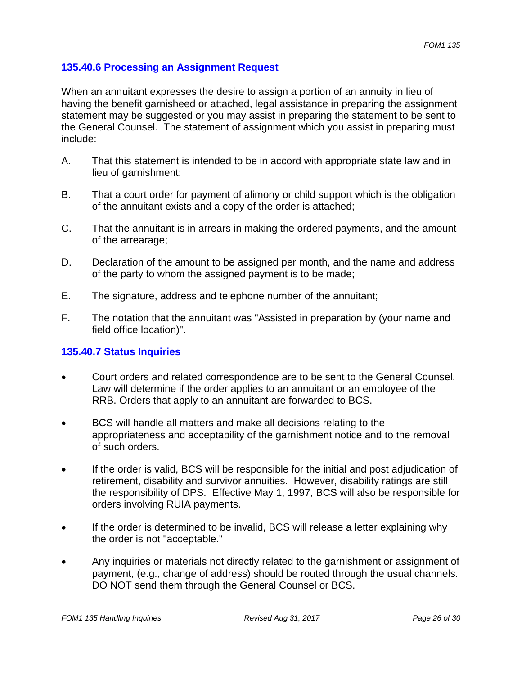#### **135.40.6 Processing an Assignment Request**

When an annuitant expresses the desire to assign a portion of an annuity in lieu of having the benefit garnisheed or attached, legal assistance in preparing the assignment statement may be suggested or you may assist in preparing the statement to be sent to the General Counsel. The statement of assignment which you assist in preparing must include:

- A. That this statement is intended to be in accord with appropriate state law and in lieu of garnishment;
- B. That a court order for payment of alimony or child support which is the obligation of the annuitant exists and a copy of the order is attached;
- C. That the annuitant is in arrears in making the ordered payments, and the amount of the arrearage;
- D. Declaration of the amount to be assigned per month, and the name and address of the party to whom the assigned payment is to be made;
- E. The signature, address and telephone number of the annuitant;
- F. The notation that the annuitant was "Assisted in preparation by (your name and field office location)".

## **135.40.7 Status Inquiries**

- Court orders and related correspondence are to be sent to the General Counsel. Law will determine if the order applies to an annuitant or an employee of the RRB. Orders that apply to an annuitant are forwarded to BCS.
- BCS will handle all matters and make all decisions relating to the appropriateness and acceptability of the garnishment notice and to the removal of such orders.
- If the order is valid, BCS will be responsible for the initial and post adjudication of retirement, disability and survivor annuities. However, disability ratings are still the responsibility of DPS. Effective May 1, 1997, BCS will also be responsible for orders involving RUIA payments.
- If the order is determined to be invalid, BCS will release a letter explaining why the order is not "acceptable."
- Any inquiries or materials not directly related to the garnishment or assignment of payment, (e.g., change of address) should be routed through the usual channels. DO NOT send them through the General Counsel or BCS.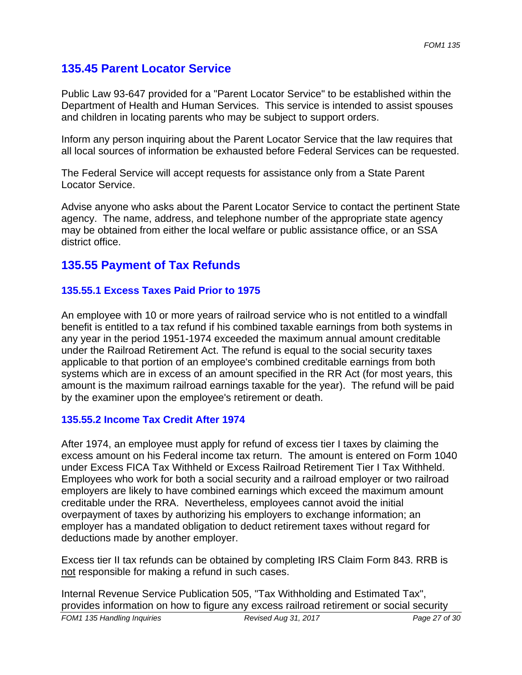# **135.45 Parent Locator Service**

Public Law 93-647 provided for a "Parent Locator Service" to be established within the Department of Health and Human Services. This service is intended to assist spouses and children in locating parents who may be subject to support orders.

Inform any person inquiring about the Parent Locator Service that the law requires that all local sources of information be exhausted before Federal Services can be requested.

The Federal Service will accept requests for assistance only from a State Parent Locator Service.

Advise anyone who asks about the Parent Locator Service to contact the pertinent State agency. The name, address, and telephone number of the appropriate state agency may be obtained from either the local welfare or public assistance office, or an SSA district office.

## **135.55 Payment of Tax Refunds**

## **135.55.1 Excess Taxes Paid Prior to 1975**

An employee with 10 or more years of railroad service who is not entitled to a windfall benefit is entitled to a tax refund if his combined taxable earnings from both systems in any year in the period 1951-1974 exceeded the maximum annual amount creditable under the Railroad Retirement Act. The refund is equal to the social security taxes applicable to that portion of an employee's combined creditable earnings from both systems which are in excess of an amount specified in the RR Act (for most years, this amount is the maximum railroad earnings taxable for the year). The refund will be paid by the examiner upon the employee's retirement or death.

#### **135.55.2 Income Tax Credit After 1974**

After 1974, an employee must apply for refund of excess tier I taxes by claiming the excess amount on his Federal income tax return. The amount is entered on Form 1040 under Excess FICA Tax Withheld or Excess Railroad Retirement Tier I Tax Withheld. Employees who work for both a social security and a railroad employer or two railroad employers are likely to have combined earnings which exceed the maximum amount creditable under the RRA. Nevertheless, employees cannot avoid the initial overpayment of taxes by authorizing his employers to exchange information; an employer has a mandated obligation to deduct retirement taxes without regard for deductions made by another employer.

Excess tier II tax refunds can be obtained by completing IRS Claim Form 843. RRB is not responsible for making a refund in such cases.

Internal Revenue Service Publication 505, "Tax Withholding and Estimated Tax", provides information on how to figure any excess railroad retirement or social security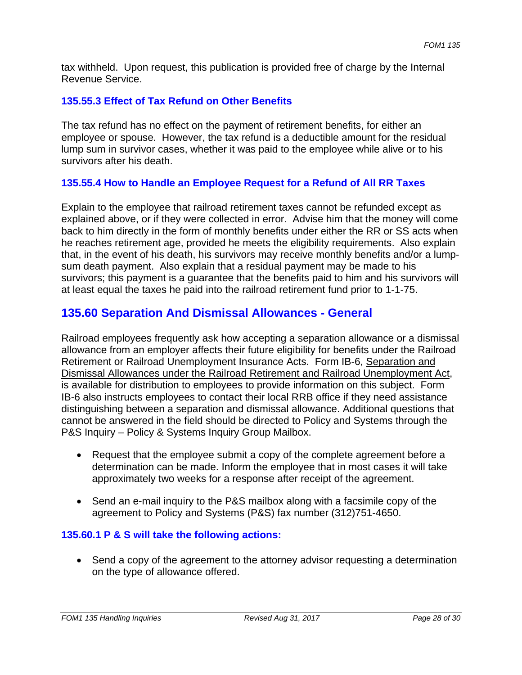tax withheld. Upon request, this publication is provided free of charge by the Internal Revenue Service.

## **135.55.3 Effect of Tax Refund on Other Benefits**

The tax refund has no effect on the payment of retirement benefits, for either an employee or spouse. However, the tax refund is a deductible amount for the residual lump sum in survivor cases, whether it was paid to the employee while alive or to his survivors after his death.

## **135.55.4 How to Handle an Employee Request for a Refund of All RR Taxes**

Explain to the employee that railroad retirement taxes cannot be refunded except as explained above, or if they were collected in error. Advise him that the money will come back to him directly in the form of monthly benefits under either the RR or SS acts when he reaches retirement age, provided he meets the eligibility requirements. Also explain that, in the event of his death, his survivors may receive monthly benefits and/or a lumpsum death payment. Also explain that a residual payment may be made to his survivors; this payment is a guarantee that the benefits paid to him and his survivors will at least equal the taxes he paid into the railroad retirement fund prior to 1-1-75.

# **135.60 Separation And Dismissal Allowances - General**

Railroad employees frequently ask how accepting a separation allowance or a dismissal allowance from an employer affects their future eligibility for benefits under the Railroad Retirement or Railroad Unemployment Insurance Acts. Form IB-6, Separation and Dismissal Allowances under the Railroad Retirement and Railroad Unemployment Act, is available for distribution to employees to provide information on this subject. Form IB-6 also instructs employees to contact their local RRB office if they need assistance distinguishing between a separation and dismissal allowance. Additional questions that cannot be answered in the field should be directed to Policy and Systems through the P&S Inquiry – Policy & Systems Inquiry Group Mailbox.

- Request that the employee submit a copy of the complete agreement before a determination can be made. Inform the employee that in most cases it will take approximately two weeks for a response after receipt of the agreement.
- Send an e-mail inquiry to the P&S mailbox along with a facsimile copy of the agreement to Policy and Systems (P&S) fax number (312)751-4650.

#### **135.60.1 P & S will take the following actions:**

 Send a copy of the agreement to the attorney advisor requesting a determination on the type of allowance offered.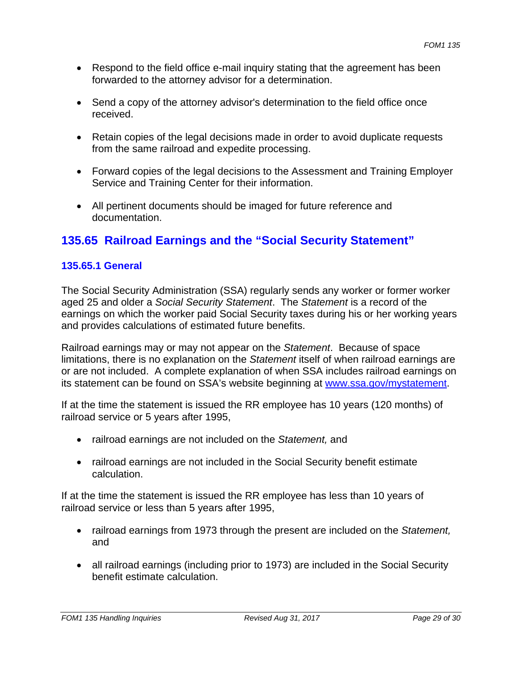- Respond to the field office e-mail inquiry stating that the agreement has been forwarded to the attorney advisor for a determination.
- Send a copy of the attorney advisor's determination to the field office once received.
- Retain copies of the legal decisions made in order to avoid duplicate requests from the same railroad and expedite processing.
- Forward copies of the legal decisions to the Assessment and Training Employer Service and Training Center for their information.
- All pertinent documents should be imaged for future reference and documentation.

# **135.65 Railroad Earnings and the "Social Security Statement"**

#### **135.65.1 General**

The Social Security Administration (SSA) regularly sends any worker or former worker aged 25 and older a *Social Security Statement*. The *Statement* is a record of the earnings on which the worker paid Social Security taxes during his or her working years and provides calculations of estimated future benefits.

Railroad earnings may or may not appear on the *Statement*. Because of space limitations, there is no explanation on the *Statement* itself of when railroad earnings are or are not included. A complete explanation of when SSA includes railroad earnings on its statement can be found on SSA's website beginning at www.ssa.gov/mystatement.

If at the time the statement is issued the RR employee has 10 years (120 months) of railroad service or 5 years after 1995,

- railroad earnings are not included on the *Statement,* and
- railroad earnings are not included in the Social Security benefit estimate calculation.

If at the time the statement is issued the RR employee has less than 10 years of railroad service or less than 5 years after 1995,

- railroad earnings from 1973 through the present are included on the *Statement,*  and
- all railroad earnings (including prior to 1973) are included in the Social Security benefit estimate calculation.